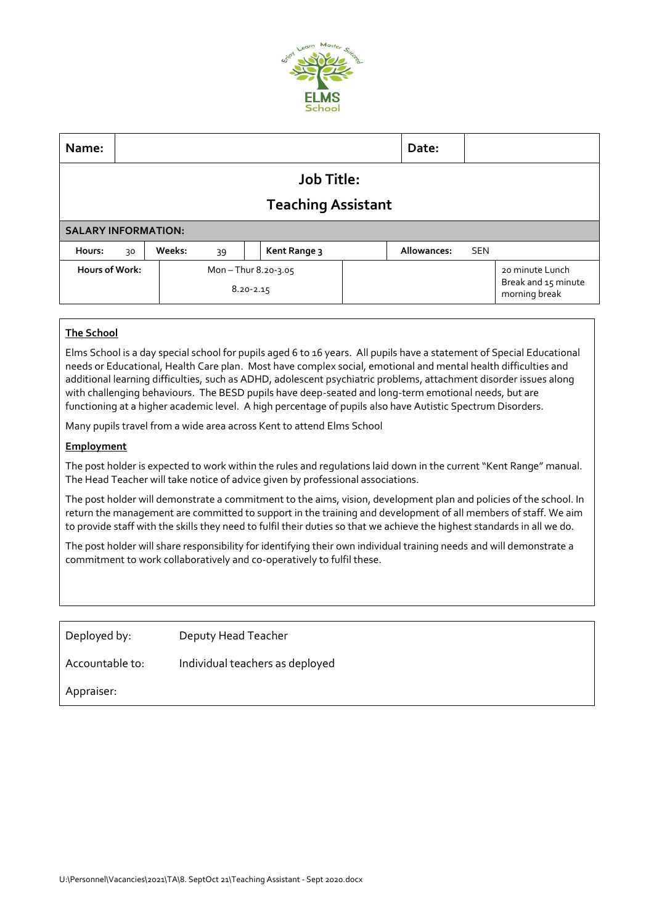

| Name:                      |    |        |                                         |  |              |  | Date:       |            |                                                         |
|----------------------------|----|--------|-----------------------------------------|--|--------------|--|-------------|------------|---------------------------------------------------------|
| <b>Job Title:</b>          |    |        |                                         |  |              |  |             |            |                                                         |
| <b>Teaching Assistant</b>  |    |        |                                         |  |              |  |             |            |                                                         |
| <b>SALARY INFORMATION:</b> |    |        |                                         |  |              |  |             |            |                                                         |
| Hours:                     | 30 | Weeks: | 39                                      |  | Kent Range 3 |  | Allowances: | <b>SEN</b> |                                                         |
| Hours of Work:             |    |        | Mon $-$ Thur 8.20-3.05<br>$8.20 - 2.15$ |  |              |  |             |            | 20 minute Lunch<br>Break and 15 minute<br>morning break |

# **The School**

Elms School is a day special school for pupils aged 6 to 16 years. All pupils have a statement of Special Educational needs or Educational, Health Care plan. Most have complex social, emotional and mental health difficulties and additional learning difficulties, such as ADHD, adolescent psychiatric problems, attachment disorder issues along with challenging behaviours. The BESD pupils have deep-seated and long-term emotional needs, but are functioning at a higher academic level. A high percentage of pupils also have Autistic Spectrum Disorders.

Many pupils travel from a wide area across Kent to attend Elms School

## **Employment**

The post holder is expected to work within the rules and regulations laid down in the current "Kent Range" manual. The Head Teacher will take notice of advice given by professional associations.

The post holder will demonstrate a commitment to the aims, vision, development plan and policies of the school. In return the management are committed to support in the training and development of all members of staff. We aim to provide staff with the skills they need to fulfil their duties so that we achieve the highest standards in all we do.

The post holder will share responsibility for identifying their own individual training needs and will demonstrate a commitment to work collaboratively and co-operatively to fulfil these.

Deployed by: Deputy Head Teacher

Accountable to: Individual teachers as deployed

Appraiser: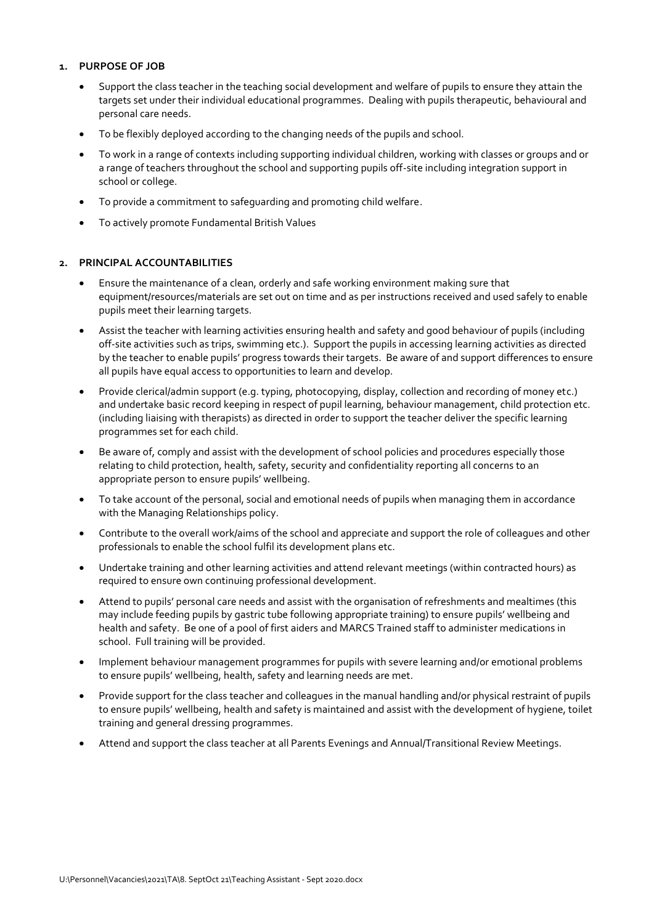## **1. PURPOSE OF JOB**

- Support the class teacher in the teaching social development and welfare of pupils to ensure they attain the targets set under their individual educational programmes. Dealing with pupils therapeutic, behavioural and personal care needs.
- To be flexibly deployed according to the changing needs of the pupils and school.
- To work in a range of contexts including supporting individual children, working with classes or groups and or a range of teachers throughout the school and supporting pupils off-site including integration support in school or college.
- To provide a commitment to safeguarding and promoting child welfare.
- To actively promote Fundamental British Values

## **2. PRINCIPAL ACCOUNTABILITIES**

- Ensure the maintenance of a clean, orderly and safe working environment making sure that equipment/resources/materials are set out on time and as per instructions received and used safely to enable pupils meet their learning targets.
- Assist the teacher with learning activities ensuring health and safety and good behaviour of pupils (including off-site activities such as trips, swimming etc.). Support the pupils in accessing learning activities as directed by the teacher to enable pupils' progress towards their targets. Be aware of and support differences to ensure all pupils have equal access to opportunities to learn and develop.
- Provide clerical/admin support (e.g. typing, photocopying, display, collection and recording of money etc.) and undertake basic record keeping in respect of pupil learning, behaviour management, child protection etc. (including liaising with therapists) as directed in order to support the teacher deliver the specific learning programmes set for each child.
- Be aware of, comply and assist with the development of school policies and procedures especially those relating to child protection, health, safety, security and confidentiality reporting all concerns to an appropriate person to ensure pupils' wellbeing.
- To take account of the personal, social and emotional needs of pupils when managing them in accordance with the Managing Relationships policy.
- Contribute to the overall work/aims of the school and appreciate and support the role of colleagues and other professionals to enable the school fulfil its development plans etc.
- Undertake training and other learning activities and attend relevant meetings (within contracted hours) as required to ensure own continuing professional development.
- Attend to pupils' personal care needs and assist with the organisation of refreshments and mealtimes (this may include feeding pupils by gastric tube following appropriate training) to ensure pupils' wellbeing and health and safety. Be one of a pool of first aiders and MARCS Trained staff to administer medications in school. Full training will be provided.
- Implement behaviour management programmes for pupils with severe learning and/or emotional problems to ensure pupils' wellbeing, health, safety and learning needs are met.
- Provide support for the class teacher and colleagues in the manual handling and/or physical restraint of pupils to ensure pupils' wellbeing, health and safety is maintained and assist with the development of hygiene, toilet training and general dressing programmes.
- Attend and support the class teacher at all Parents Evenings and Annual/Transitional Review Meetings.